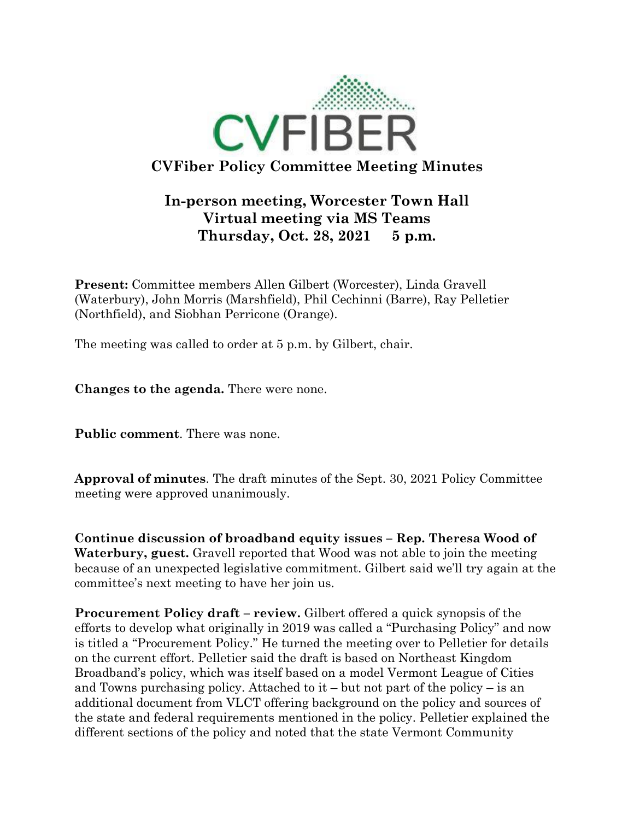

## **In-person meeting, Worcester Town Hall Virtual meeting via MS Teams Thursday, Oct. 28, 2021 5 p.m.**

**Present:** Committee members Allen Gilbert (Worcester), Linda Gravell (Waterbury), John Morris (Marshfield), Phil Cechinni (Barre), Ray Pelletier (Northfield), and Siobhan Perricone (Orange).

The meeting was called to order at 5 p.m. by Gilbert, chair.

**Changes to the agenda.** There were none.

**Public comment**. There was none.

**Approval of minutes**. The draft minutes of the Sept. 30, 2021 Policy Committee meeting were approved unanimously.

**Continue discussion of broadband equity issues – Rep. Theresa Wood of Waterbury, guest.** Gravell reported that Wood was not able to join the meeting because of an unexpected legislative commitment. Gilbert said we'll try again at the committee's next meeting to have her join us.

**Procurement Policy draft – review.** Gilbert offered a quick synopsis of the efforts to develop what originally in 2019 was called a "Purchasing Policy" and now is titled a "Procurement Policy." He turned the meeting over to Pelletier for details on the current effort. Pelletier said the draft is based on Northeast Kingdom Broadband's policy, which was itself based on a model Vermont League of Cities and Towns purchasing policy. Attached to it – but not part of the policy – is an additional document from VLCT offering background on the policy and sources of the state and federal requirements mentioned in the policy. Pelletier explained the different sections of the policy and noted that the state Vermont Community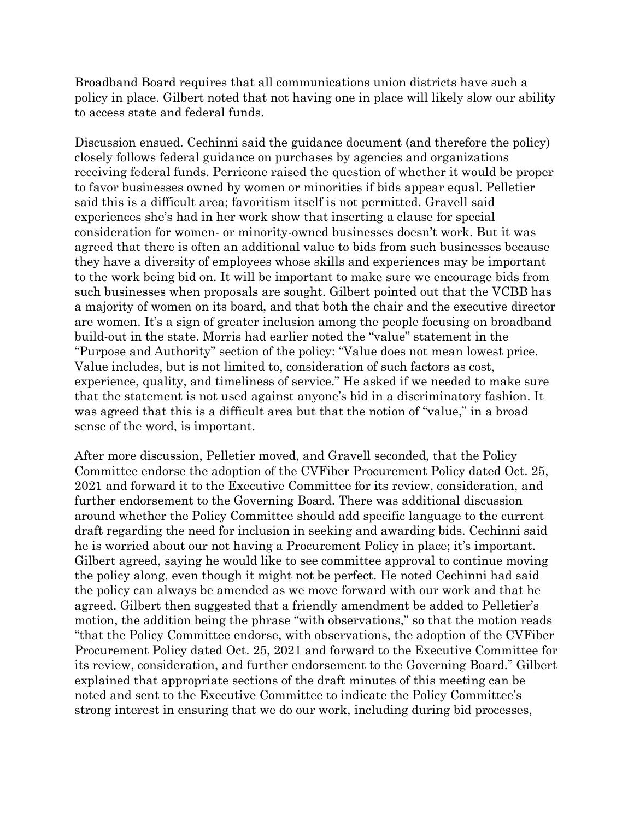Broadband Board requires that all communications union districts have such a policy in place. Gilbert noted that not having one in place will likely slow our ability to access state and federal funds.

Discussion ensued. Cechinni said the guidance document (and therefore the policy) closely follows federal guidance on purchases by agencies and organizations receiving federal funds. Perricone raised the question of whether it would be proper to favor businesses owned by women or minorities if bids appear equal. Pelletier said this is a difficult area; favoritism itself is not permitted. Gravell said experiences she's had in her work show that inserting a clause for special consideration for women- or minority-owned businesses doesn't work. But it was agreed that there is often an additional value to bids from such businesses because they have a diversity of employees whose skills and experiences may be important to the work being bid on. It will be important to make sure we encourage bids from such businesses when proposals are sought. Gilbert pointed out that the VCBB has a majority of women on its board, and that both the chair and the executive director are women. It's a sign of greater inclusion among the people focusing on broadband build-out in the state. Morris had earlier noted the "value" statement in the "Purpose and Authority" section of the policy: "Value does not mean lowest price. Value includes, but is not limited to, consideration of such factors as cost, experience, quality, and timeliness of service." He asked if we needed to make sure that the statement is not used against anyone's bid in a discriminatory fashion. It was agreed that this is a difficult area but that the notion of "value," in a broad sense of the word, is important.

After more discussion, Pelletier moved, and Gravell seconded, that the Policy Committee endorse the adoption of the CVFiber Procurement Policy dated Oct. 25, 2021 and forward it to the Executive Committee for its review, consideration, and further endorsement to the Governing Board. There was additional discussion around whether the Policy Committee should add specific language to the current draft regarding the need for inclusion in seeking and awarding bids. Cechinni said he is worried about our not having a Procurement Policy in place; it's important. Gilbert agreed, saying he would like to see committee approval to continue moving the policy along, even though it might not be perfect. He noted Cechinni had said the policy can always be amended as we move forward with our work and that he agreed. Gilbert then suggested that a friendly amendment be added to Pelletier's motion, the addition being the phrase "with observations," so that the motion reads "that the Policy Committee endorse, with observations, the adoption of the CVFiber Procurement Policy dated Oct. 25, 2021 and forward to the Executive Committee for its review, consideration, and further endorsement to the Governing Board." Gilbert explained that appropriate sections of the draft minutes of this meeting can be noted and sent to the Executive Committee to indicate the Policy Committee's strong interest in ensuring that we do our work, including during bid processes,